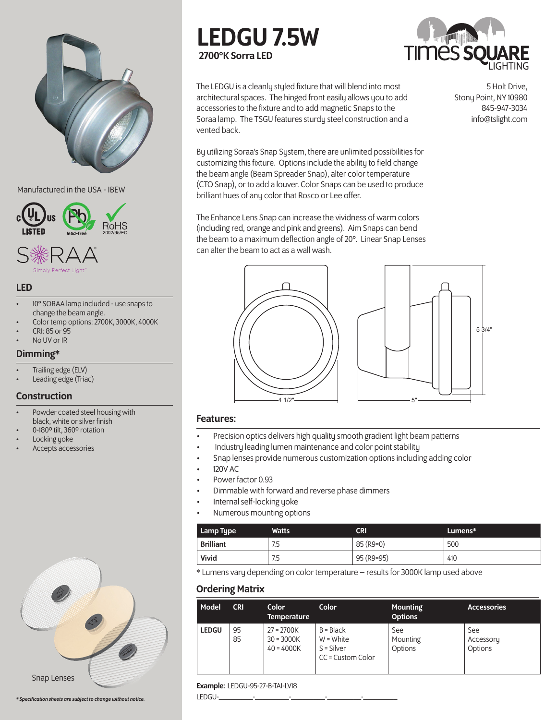

### Manufactured in the USA - IBEW



### LED

- 10° SORAA lamp included use snaps to change the beam angle.
- Color temp options: 2700K, 3000K, 4000K
- CRI: 85 or 95
- No UV or IR

# Dimming\*

- Trailing edge (ELV)
- Leading edge (Triac)

# **Construction**

- Powder coated steel housing with black, white or silver finish
- 0-180º tilt, 360º rotation
- Locking yoke
- Accepts accessories



```
* Specification sheets are subject to change without notice.
```
# LEDGU 7.5W 2700°K Sorra LED



The LEDGU is a cleanly styled fixture that will blend into most architectural spaces. The hinged front easily allows you to add accessories to the fixture and to add magnetic Snaps to the Soraa lamp. The TSGU features sturdy steel construction and a vented back.

By utilizing Soraa's Snap System, there are unlimited possibilities for customizing this fixture. Options include the ability to field change the beam angle (Beam Spreader Snap), alter color temperature (CTO Snap), or to add a louver. Color Snaps can be used to produce brilliant hues of any color that Rosco or Lee offer.

The Enhance Lens Snap can increase the vividness of warm colors (including red, orange and pink and greens). Aim Snaps can bend the beam to a maximum deflection angle of 20°. Linear Snap Lenses can alter the beam to act as a wall wash.





## Features:

- Precision optics delivers high quality smooth gradient light beam patterns
- Industry leading lumen maintenance and color point stability
- Snap lenses provide numerous customization options including adding color
- 120V AC
- Power factor 0.93
- Dimmable with forward and reverse phase dimmers
- Internal self-locking yoke
- Numerous mounting options

| Lamp Type        | Watts | CRI        | Lumens* |
|------------------|-------|------------|---------|
| <b>Brilliant</b> | 7.5   | 85 (R9=0)  | 500     |
| Vivid            | 7.5   | 95 (R9=95) | 410     |

\* Lumens vary depending on color temperature – results for 3000K lamp used above

# Ordering Matrix

| Model        | <b>CRI</b> | <b>Color</b><br><b>Temperature</b>           | Color                                                           | <b>Mounting</b><br><b>Options</b> | <b>Accessories</b>          |
|--------------|------------|----------------------------------------------|-----------------------------------------------------------------|-----------------------------------|-----------------------------|
| <b>LEDGU</b> | 95<br>85   | $27 = 2700K$<br>$30 = 3000K$<br>$40 = 4000K$ | $B = Black$<br>$W = White$<br>$S = Silver$<br>CC = Custom Color | See<br>Mounting<br>Options        | See<br>Accessory<br>Options |

### Example: LEDGU-95-27-B-TA1-LV18

LEDGU-\_\_\_\_\_\_\_\_\_-\_\_\_\_\_\_\_\_\_-\_\_\_\_\_\_\_\_\_-\_\_\_\_\_\_\_\_\_-\_\_\_\_\_\_\_\_\_

5 Holt Drive, Stony Point, NY 10980 845-947-3034 info@tslight.com